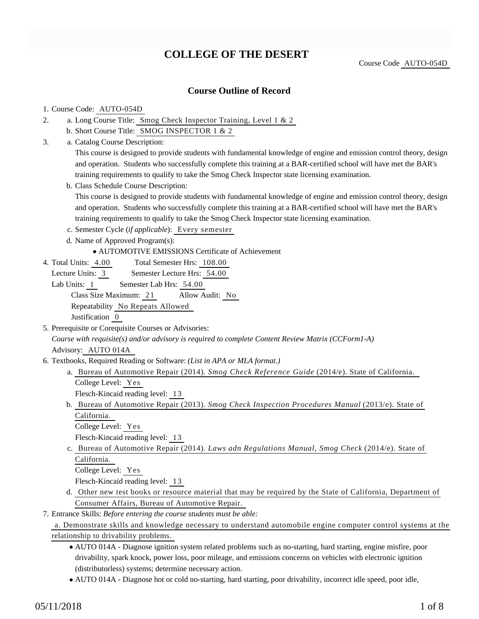## **COLLEGE OF THE DESERT**

Course Code AUTO-054D

## **Course Outline of Record**

#### 1. Course Code: AUTO-054D

- a. Long Course Title: Smog Check Inspector Training, Level 1 & 2 2.
	- b. Short Course Title: SMOG INSPECTOR 1 & 2
- Catalog Course Description: a. 3.

This course is designed to provide students with fundamental knowledge of engine and emission control theory, design and operation. Students who successfully complete this training at a BAR-certified school will have met the BAR's training requirements to qualify to take the Smog Check Inspector state licensing examination.

b. Class Schedule Course Description:

This course is designed to provide students with fundamental knowledge of engine and emission control theory, design and operation. Students who successfully complete this training at a BAR-certified school will have met the BAR's training requirements to qualify to take the Smog Check Inspector state licensing examination.

- c. Semester Cycle (*if applicable*): Every semester
- d. Name of Approved Program(s):
	- AUTOMOTIVE EMISSIONS Certificate of Achievement
- Total Semester Hrs: 108.00 4. Total Units: 4.00

Lecture Units: 3 Semester Lecture Hrs: 54.00

Lab Units: 1 Semester Lab Hrs: 54.00 Class Size Maximum: 21 Allow Audit: No Repeatability No Repeats Allowed Justification 0

5. Prerequisite or Corequisite Courses or Advisories:

*Course with requisite(s) and/or advisory is required to complete Content Review Matrix (CCForm1-A)* Advisory: AUTO 014A

- 6. Textbooks, Required Reading or Software: (List in APA or MLA format.)
	- a. Bureau of Automotive Repair (2014). Smog Check Reference Guide (2014/e). State of California. College Level: Yes

Flesch-Kincaid reading level: 13

b. Bureau of Automotive Repair (2013). Smog Check Inspection Procedures Manual (2013/e). State of California.

College Level: Yes

Flesch-Kincaid reading level: 13

c. Bureau of Automotive Repair (2014). *Laws adn Regulations Manual*, Smog Check (2014/e). State of California.

College Level: Yes

Flesch-Kincaid reading level: 13

d. Other new test books or resource material that may be required by the State of California, Department of Consumer Affairs, Bureau of Automotive Repair.

Entrance Skills: *Before entering the course students must be able:* 7.

a. Demonstrate skills and knowledge necessary to understand automobile engine computer control systems at the relationship to drivability problems.

- AUTO 014A Diagnose ignition system related problems such as no-starting, hard starting, engine misfire, poor drivability, spark knock, power loss, poor mileage, and emissions concerns on vehicles with electronic ignition (distributorless) systems; determine necessary action.
- AUTO 014A Diagnose hot or cold no-starting, hard starting, poor drivability, incorrect idle speed, poor idle,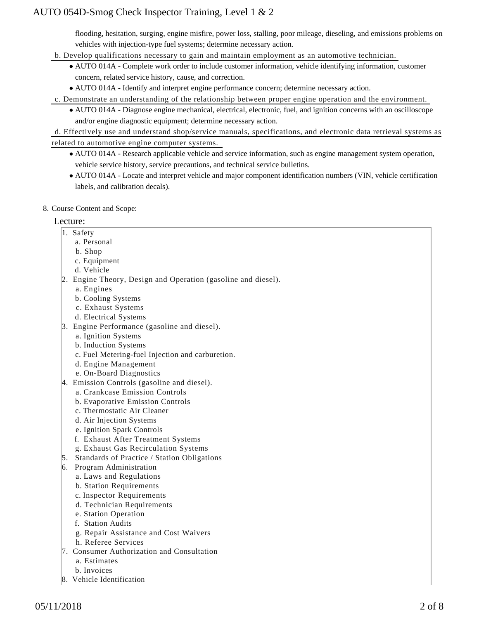flooding, hesitation, surging, engine misfire, power loss, stalling, poor mileage, dieseling, and emissions problems on vehicles with injection-type fuel systems; determine necessary action.

- b. Develop qualifications necessary to gain and maintain employment as an automotive technician.
	- AUTO 014A Complete work order to include customer information, vehicle identifying information, customer concern, related service history, cause, and correction.
	- AUTO 014A Identify and interpret engine performance concern; determine necessary action.
- c. Demonstrate an understanding of the relationship between proper engine operation and the environment.
	- AUTO 014A Diagnose engine mechanical, electrical, electronic, fuel, and ignition concerns with an oscilloscope and/or engine diagnostic equipment; determine necessary action.

d. Effectively use and understand shop/service manuals, specifications, and electronic data retrieval systems as related to automotive engine computer systems.

- AUTO 014A Research applicable vehicle and service information, such as engine management system operation, vehicle service history, service precautions, and technical service bulletins.
- AUTO 014A Locate and interpret vehicle and major component identification numbers (VIN, vehicle certification labels, and calibration decals).
- 8. Course Content and Scope:

#### Lecture:

- 1. Safety
	- a. Personal
	- b. Shop
	- c. Equipment
	- d. Vehicle
- 2. Engine Theory, Design and Operation (gasoline and diesel).
	- a. Engines
	- b. Cooling Systems
	- c. Exhaust Systems
	- d. Electrical Systems
- 3. Engine Performance (gasoline and diesel).
	- a. Ignition Systems
	- b. Induction Systems
	- c. Fuel Metering-fuel Injection and carburetion.
	- d. Engine Management
	- e. On-Board Diagnostics
- 4. Emission Controls (gasoline and diesel).
	- a. Crankcase Emission Controls
	- b. Evaporative Emission Controls
	- c. Thermostatic Air Cleaner
	- d. Air Injection Systems
	- e. Ignition Spark Controls
	- f. Exhaust After Treatment Systems
	- g. Exhaust Gas Recirculation Systems
- 5. Standards of Practice / Station Obligations
- 6. Program Administration
	- a. Laws and Regulations
	- b. Station Requirements
	- c. Inspector Requirements
	- d. Technician Requirements
	- e. Station Operation
	- f. Station Audits
	- g. Repair Assistance and Cost Waivers
	- h. Referee Services
- 7. Consumer Authorization and Consultation
	- a. Estimates
	- b. Invoices
- 8. Vehicle Identification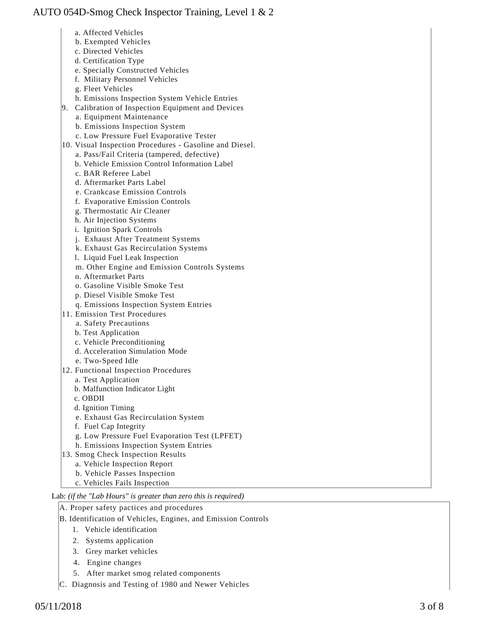- a. Affected Vehicles
- b. Exempted Vehicles
- c. Directed Vehicles
- d. Certification Type
- e. Specially Constructed Vehicles
- f. Military Personnel Vehicles
- g. Fleet Vehicles
- h. Emissions Inspection System Vehicle Entries
- 9. Calibration of Inspection Equipment and Devices
	- a. Equipment Maintenance
	- b. Emissions Inspection System
	- c. Low Pressure Fuel Evaporative Tester
- 10. Visual Inspection Procedures Gasoline and Diesel.
	- a. Pass/Fail Criteria (tampered, defective)
	- b. Vehicle Emission Control Information Label
	- c. BAR Referee Label
	- d. Aftermarket Parts Label
	- e. Crankcase Emission Controls
	- f. Evaporative Emission Controls
	- g. Thermostatic Air Cleaner
	- h. Air Injection Systems
	- i. Ignition Spark Controls
	- j. Exhaust After Treatment Systems
	- k. Exhaust Gas Recirculation Systems
	- l. Liquid Fuel Leak Inspection
	- m. Other Engine and Emission Controls Systems
	- n. Aftermarket Parts
	- o. Gasoline Visible Smoke Test
	- p. Diesel Visible Smoke Test
	- q. Emissions Inspection System Entries
- 11. Emission Test Procedures
	- a. Safety Precautions
	- b. Test Application
	- c. Vehicle Preconditioning
	- d. Acceleration Simulation Mode
	- e. Two-Speed Idle
- 12. Functional Inspection Procedures
	- a. Test Application
	- b. Malfunction Indicator Light
	- c. OBDII
	- d. Ignition Timing
	- e. Exhaust Gas Recirculation System
	- f. Fuel Cap Integrity
	- g. Low Pressure Fuel Evaporation Test (LPFET)
	- h. Emissions Inspection System Entries
- 13. Smog Check Inspection Results
	- a. Vehicle Inspection Report
	- b. Vehicle Passes Inspection
	- c. Vehicles Fails Inspection

## Lab: *(if the "Lab Hours" is greater than zero this is required)*

- A. Proper safety pactices and procedures
- B. Identification of Vehicles, Engines, and Emission Controls
	- 1. Vehicle identification
	- 2. Systems application
	- 3. Grey market vehicles
	- 4. Engine changes
	- 5. After market smog related components
- C. Diagnosis and Testing of 1980 and Newer Vehicles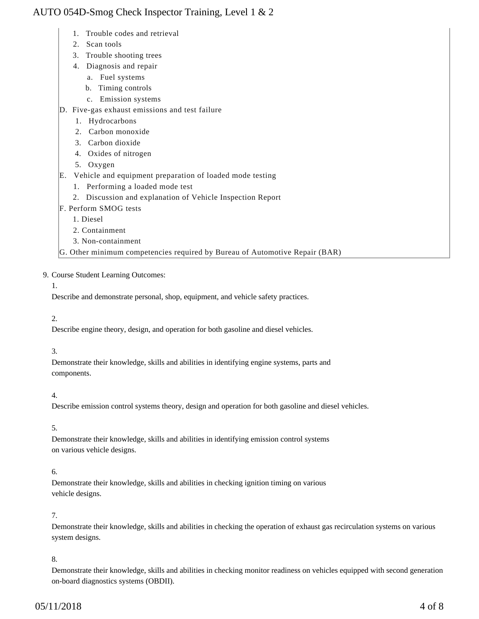- 1. Trouble codes and retrieval
- 2. Scan tools
- 3. Trouble shooting trees
- 4. Diagnosis and repair
	- a. Fuel systems
	- b. Timing controls
	- c. Emission systems
- D. Five-gas exhaust emissions and test failure
	- 1. Hydrocarbons
	- 2. Carbon monoxide
	- 3. Carbon dioxide
	- 4. Oxides of nitrogen
	- 5. Oxygen
- E. Vehicle and equipment preparation of loaded mode testing
	- 1. Performing a loaded mode test
	- 2. Discussion and explanation of Vehicle Inspection Report
- F. Perform SMOG tests
	- 1. Diesel
	- 2. Containment
	- 3. Non-containment

G. Other minimum competencies required by Bureau of Automotive Repair (BAR)

### 9. Course Student Learning Outcomes:

### 1.

Describe and demonstrate personal, shop, equipment, and vehicle safety practices.

### 2.

Describe engine theory, design, and operation for both gasoline and diesel vehicles.

#### 3.

Demonstrate their knowledge, skills and abilities in identifying engine systems, parts and components.

### 4.

Describe emission control systems theory, design and operation for both gasoline and diesel vehicles.

### 5.

Demonstrate their knowledge, skills and abilities in identifying emission control systems on various vehicle designs.

### 6.

Demonstrate their knowledge, skills and abilities in checking ignition timing on various vehicle designs.

## 7.

Demonstrate their knowledge, skills and abilities in checking the operation of exhaust gas recirculation systems on various system designs.

### 8.

Demonstrate their knowledge, skills and abilities in checking monitor readiness on vehicles equipped with second generation on-board diagnostics systems (OBDII).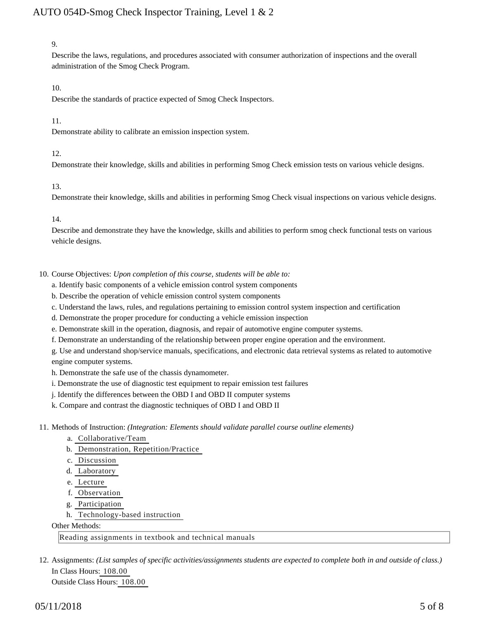#### 9.

Describe the laws, regulations, and procedures associated with consumer authorization of inspections and the overall administration of the Smog Check Program.

#### 10.

Describe the standards of practice expected of Smog Check Inspectors.

#### 11.

Demonstrate ability to calibrate an emission inspection system.

#### 12.

Demonstrate their knowledge, skills and abilities in performing Smog Check emission tests on various vehicle designs.

#### 13.

Demonstrate their knowledge, skills and abilities in performing Smog Check visual inspections on various vehicle designs.

14.

Describe and demonstrate they have the knowledge, skills and abilities to perform smog check functional tests on various vehicle designs.

10. Course Objectives: Upon completion of this course, students will be able to:

- a. Identify basic components of a vehicle emission control system components
- b. Describe the operation of vehicle emission control system components
- c. Understand the laws, rules, and regulations pertaining to emission control system inspection and certification
- d. Demonstrate the proper procedure for conducting a vehicle emission inspection
- e. Demonstrate skill in the operation, diagnosis, and repair of automotive engine computer systems.
- f. Demonstrate an understanding of the relationship between proper engine operation and the environment.

g. Use and understand shop/service manuals, specifications, and electronic data retrieval systems as related to automotive engine computer systems.

h. Demonstrate the safe use of the chassis dynamometer.

- i. Demonstrate the use of diagnostic test equipment to repair emission test failures
- j. Identify the differences between the OBD I and OBD II computer systems
- k. Compare and contrast the diagnostic techniques of OBD I and OBD II
- 11. Methods of Instruction: *(Integration: Elements should validate parallel course outline elements)* 
	- a. Collaborative/Team
	- b. Demonstration, Repetition/Practice
	- c. Discussion
	- d. Laboratory
	- e. Lecture
	- f. Observation
	- g. Participation
	- h. Technology-based instruction

Other Methods:

Reading assignments in textbook and technical manuals

12. Assignments: (List samples of specific activities/assignments students are expected to complete both in and outside of class.) In Class Hours: 108.00 Outside Class Hours: 108.00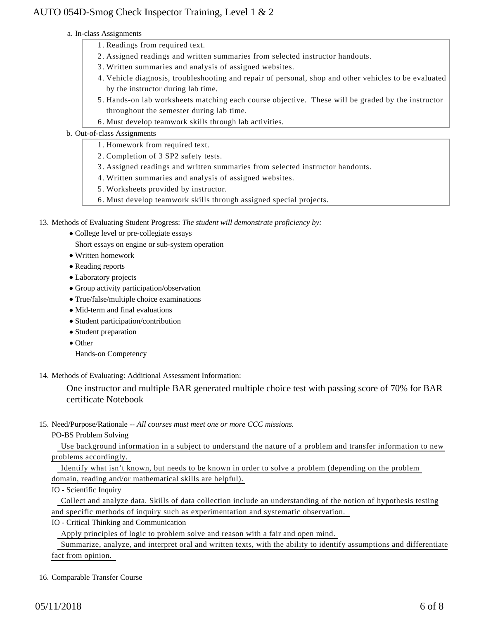#### a. In-class Assignments

- 1. Readings from required text.
- 2. Assigned readings and written summaries from selected instructor handouts.
- 3. Written summaries and analysis of assigned websites.
- Vehicle diagnosis, troubleshooting and repair of personal, shop and other vehicles to be evaluated 4. by the instructor during lab time.
- 5. Hands-on lab worksheets matching each course objective. These will be graded by the instructor throughout the semester during lab time.
- 6. Must develop teamwork skills through lab activities.

#### b. Out-of-class Assignments

- 1. Homework from required text.
- 2. Completion of 3 SP2 safety tests.
- 3. Assigned readings and written summaries from selected instructor handouts.
- 4. Written summaries and analysis of assigned websites.
- 5. Worksheets provided by instructor.
- 6. Must develop teamwork skills through assigned special projects.

13. Methods of Evaluating Student Progress: The student will demonstrate proficiency by:

College level or pre-collegiate essays

Short essays on engine or sub-system operation

- Written homework
- Reading reports
- Laboratory projects
- Group activity participation/observation
- True/false/multiple choice examinations
- Mid-term and final evaluations
- Student participation/contribution
- Student preparation
- Other

Hands-on Competency

14. Methods of Evaluating: Additional Assessment Information:

One instructor and multiple BAR generated multiple choice test with passing score of 70% for BAR certificate Notebook

15. Need/Purpose/Rationale -- All courses must meet one or more CCC missions.

PO-BS Problem Solving

 Use background information in a subject to understand the nature of a problem and transfer information to new problems accordingly.

 Identify what isn't known, but needs to be known in order to solve a problem (depending on the problem domain, reading and/or mathematical skills are helpful).

IO - Scientific Inquiry

 Collect and analyze data. Skills of data collection include an understanding of the notion of hypothesis testing and specific methods of inquiry such as experimentation and systematic observation.

IO - Critical Thinking and Communication

Apply principles of logic to problem solve and reason with a fair and open mind.

 Summarize, analyze, and interpret oral and written texts, with the ability to identify assumptions and differentiate fact from opinion.

16. Comparable Transfer Course